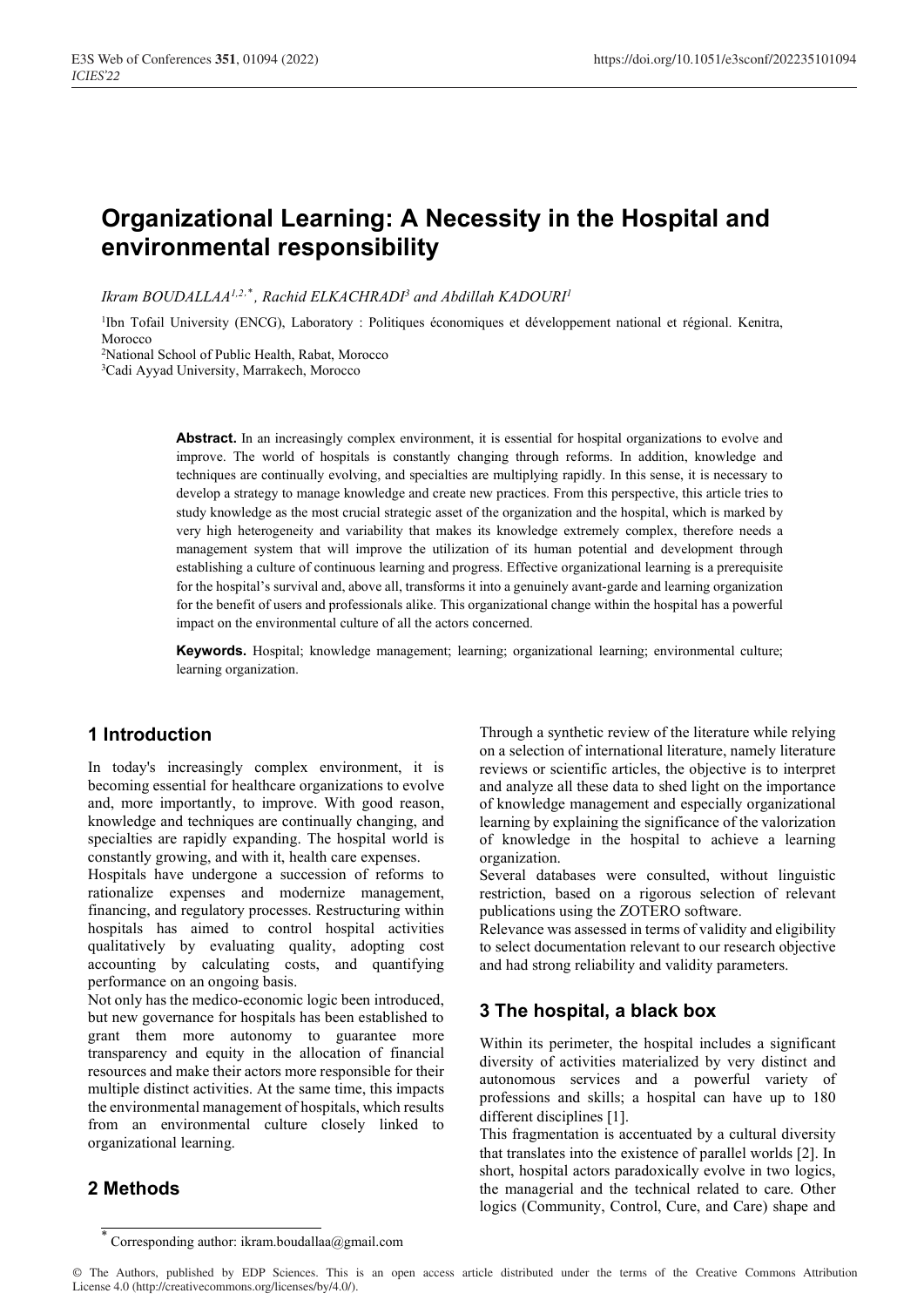# **Organizational Learning: A Necessity in the Hospital and environmental responsibility**

Ikram BOUDALLAA<sup>1,2,\*</sup>, Rachid ELKACHRADI<sup>3</sup> and Abdillah KADOURI<sup>1</sup>

<sup>1</sup>Ibn Tofail University (ENCG), Laboratory : Politiques économiques et développement national et régional. Kenitra, Morocco

2National School of Public Health, Rabat, Morocco

3 Cadi Ayyad University, Marrakech, Morocco

Abstract. In an increasingly complex environment, it is essential for hospital organizations to evolve and improve. The world of hospitals is constantly changing through reforms. In addition, knowledge and techniques are continually evolving, and specialties are multiplying rapidly. In this sense, it is necessary to develop a strategy to manage knowledge and create new practices. From this perspective, this article tries to study knowledge as the most crucial strategic asset of the organization and the hospital, which is marked by very high heterogeneity and variability that makes its knowledge extremely complex, therefore needs a management system that will improve the utilization of its human potential and development through establishing a culture of continuous learning and progress. Effective organizational learning is a prerequisite for the hospital's survival and, above all, transforms it into a genuinely avant-garde and learning organization for the benefit of users and professionals alike. This organizational change within the hospital has a powerful impact on the environmental culture of all the actors concerned.

**Keywords.** Hospital; knowledge management; learning; organizational learning; environmental culture; learning organization.

#### **1 Introduction**

In today's increasingly complex environment, it is becoming essential for healthcare organizations to evolve and, more importantly, to improve. With good reason, knowledge and techniques are continually changing, and specialties are rapidly expanding. The hospital world is constantly growing, and with it, health care expenses.

Hospitals have undergone a succession of reforms to rationalize expenses and modernize management, financing, and regulatory processes. Restructuring within hospitals has aimed to control hospital activities qualitatively by evaluating quality, adopting cost accounting by calculating costs, and quantifying performance on an ongoing basis.

Not only has the medico-economic logic been introduced, but new governance for hospitals has been established to grant them more autonomy to guarantee more transparency and equity in the allocation of financial resources and make their actors more responsible for their multiple distinct activities. At the same time, this impacts the environmental management of hospitals, which results from an environmental culture closely linked to organizational learning.

#### **2 Methods**

Through a synthetic review of the literature while relying on a selection of international literature, namely literature reviews or scientific articles, the objective is to interpret and analyze all these data to shed light on the importance of knowledge management and especially organizational learning by explaining the significance of the valorization of knowledge in the hospital to achieve a learning organization.

Several databases were consulted, without linguistic restriction, based on a rigorous selection of relevant publications using the ZOTERO software.

Relevance was assessed in terms of validity and eligibility to select documentation relevant to our research objective and had strong reliability and validity parameters.

# **3 The hospital, a black box**

Within its perimeter, the hospital includes a significant diversity of activities materialized by very distinct and autonomous services and a powerful variety of professions and skills; a hospital can have up to 180 different disciplines [1].

This fragmentation is accentuated by a cultural diversity that translates into the existence of parallel worlds [2]. In short, hospital actors paradoxically evolve in two logics, the managerial and the technical related to care. Other logics (Community, Control, Cure, and Care) shape and

<sup>\*</sup> Corresponding author: ikram.boudallaa@gmail.com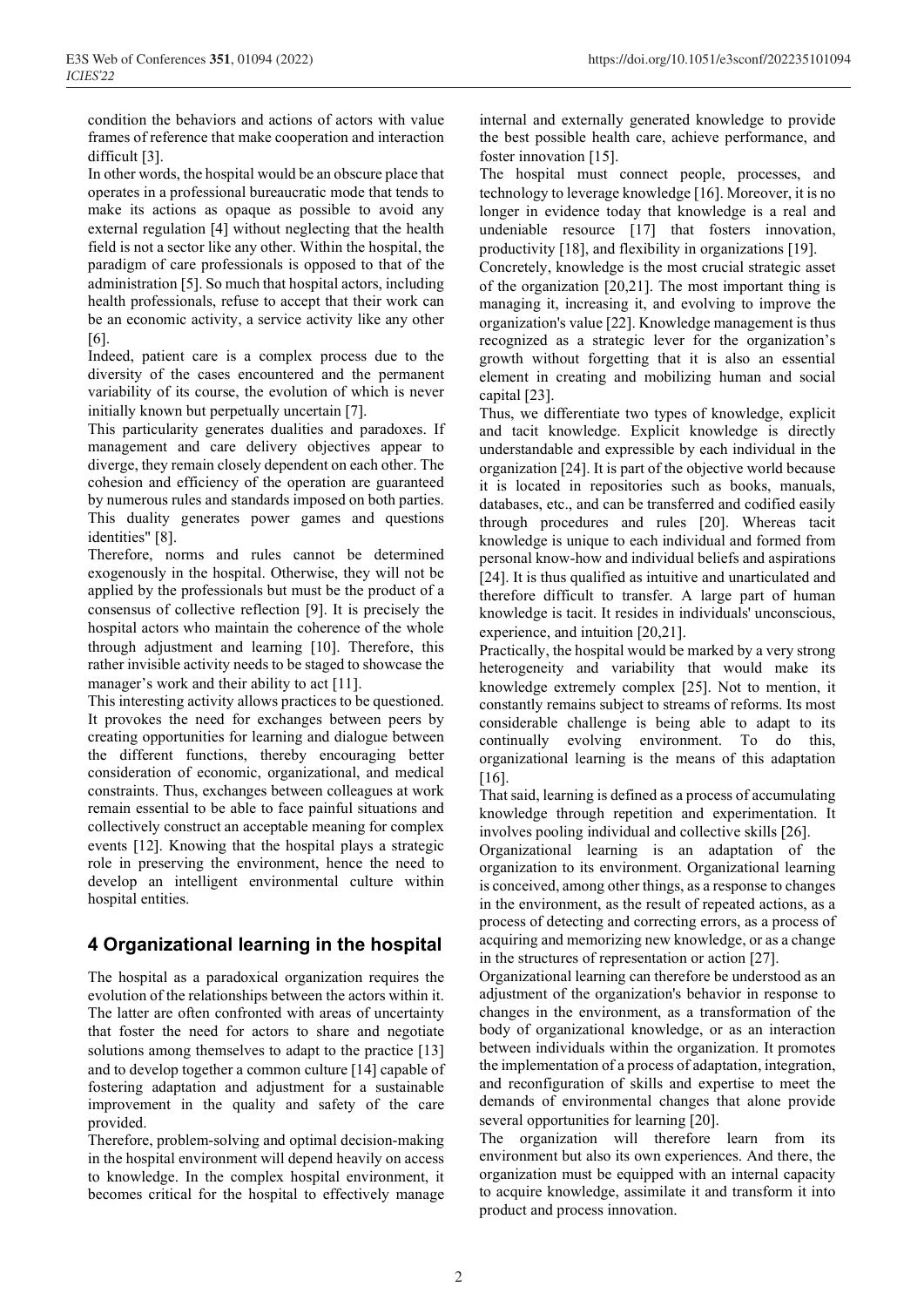condition the behaviors and actions of actors with value frames of reference that make cooperation and interaction difficult  $[3]$ .

In other words, the hospital would be an obscure place that operates in a professional bureaucratic mode that tends to make its actions as opaque as possible to avoid any external regulation [4] without neglecting that the health field is not a sector like any other. Within the hospital, the paradigm of care professionals is opposed to that of the administration [5]. So much that hospital actors, including health professionals, refuse to accept that their work can be an economic activity, a service activity like any other [6]

Indeed, patient care is a complex process due to the diversity of the cases encountered and the permanent variability of its course, the evolution of which is never initially known but perpetually uncertain [7].

This particularity generates dualities and paradoxes. If management and care delivery objectives appear to diverge, they remain closely dependent on each other. The cohesion and efficiency of the operation are guaranteed by numerous rules and standards imposed on both parties. This duality generates power games and questions identities" [8].

Therefore, norms and rules cannot be determined exogenously in the hospital. Otherwise, they will not be applied by the professionals but must be the product of a consensus of collective reflection [9]. It is precisely the hospital actors who maintain the coherence of the whole through adjustment and learning [10]. Therefore, this rather invisible activity needs to be staged to showcase the manager's work and their ability to act [11].

This interesting activity allows practices to be questioned. It provokes the need for exchanges between peers by creating opportunities for learning and dialogue between the different functions, thereby encouraging better consideration of economic, organizational, and medical constraints. Thus, exchanges between colleagues at work remain essential to be able to face painful situations and collectively construct an acceptable meaning for complex events [12]. Knowing that the hospital plays a strategic role in preserving the environment, hence the need to develop an intelligent environmental culture within hospital entities.

# **4 Organizational learning in the hospital**

The hospital as a paradoxical organization requires the evolution of the relationships between the actors within it. The latter are often confronted with areas of uncertainty that foster the need for actors to share and negotiate solutions among themselves to adapt to the practice [13] and to develop together a common culture [14] capable of fostering adaptation and adjustment for a sustainable improvement in the quality and safety of the care provided.

Therefore, problem-solving and optimal decision-making in the hospital environment will depend heavily on access to knowledge. In the complex hospital environment, it becomes critical for the hospital to effectively manage internal and externally generated knowledge to provide the best possible health care, achieve performance, and foster innovation [15].

The hospital must connect people, processes, and technology to leverage knowledge [16]. Moreover, it is no longer in evidence today that knowledge is a real and undeniable resource [17] that fosters innovation, productivity [18], and flexibility in organizations [19].

Concretely, knowledge is the most crucial strategic asset of the organization  $[20,21]$ . The most important thing is managing it, increasing it, and evolving to improve the organization's value [22]. Knowledge management is thus recognized as a strategic lever for the organization's growth without forgetting that it is also an essential element in creating and mobilizing human and social capital [23].

Thus, we differentiate two types of knowledge, explicit and tacit knowledge. Explicit knowledge is directly understandable and expressible by each individual in the organization [24]. It is part of the objective world because it is located in repositories such as books, manuals, databases, etc., and can be transferred and codified easily through procedures and rules [20]. Whereas tacit knowledge is unique to each individual and formed from personal know-how and individual beliefs and aspirations [24]. It is thus qualified as intuitive and unarticulated and therefore difficult to transfer. A large part of human knowledge is tacit. It resides in individuals' unconscious, experience, and intuition [20,21].

Practically, the hospital would be marked by a very strong heterogeneity and variability that would make its knowledge extremely complex [25]. Not to mention, it constantly remains subject to streams of reforms. Its most considerable challenge is being able to adapt to its continually evolving environment. To do this, organizational learning is the means of this adaptation  $[16]$ .

That said, learning is defined as a process of accumulating knowledge through repetition and experimentation. It involves pooling individual and collective skills [26].

Organizational learning is an adaptation of the organization to its environment. Organizational learning is conceived, among other things, as a response to changes in the environment, as the result of repeated actions, as a process of detecting and correcting errors, as a process of acquiring and memorizing new knowledge, or as a change in the structures of representation or action [27].

Organizational learning can therefore be understood as an adjustment of the organization's behavior in response to changes in the environment, as a transformation of the body of organizational knowledge, or as an interaction between individuals within the organization. It promotes the implementation of a process of adaptation, integration, and reconfiguration of skills and expertise to meet the demands of environmental changes that alone provide several opportunities for learning [20].

The organization will therefore learn from its environment but also its own experiences. And there, the organization must be equipped with an internal capacity to acquire knowledge, assimilate it and transform it into product and process innovation.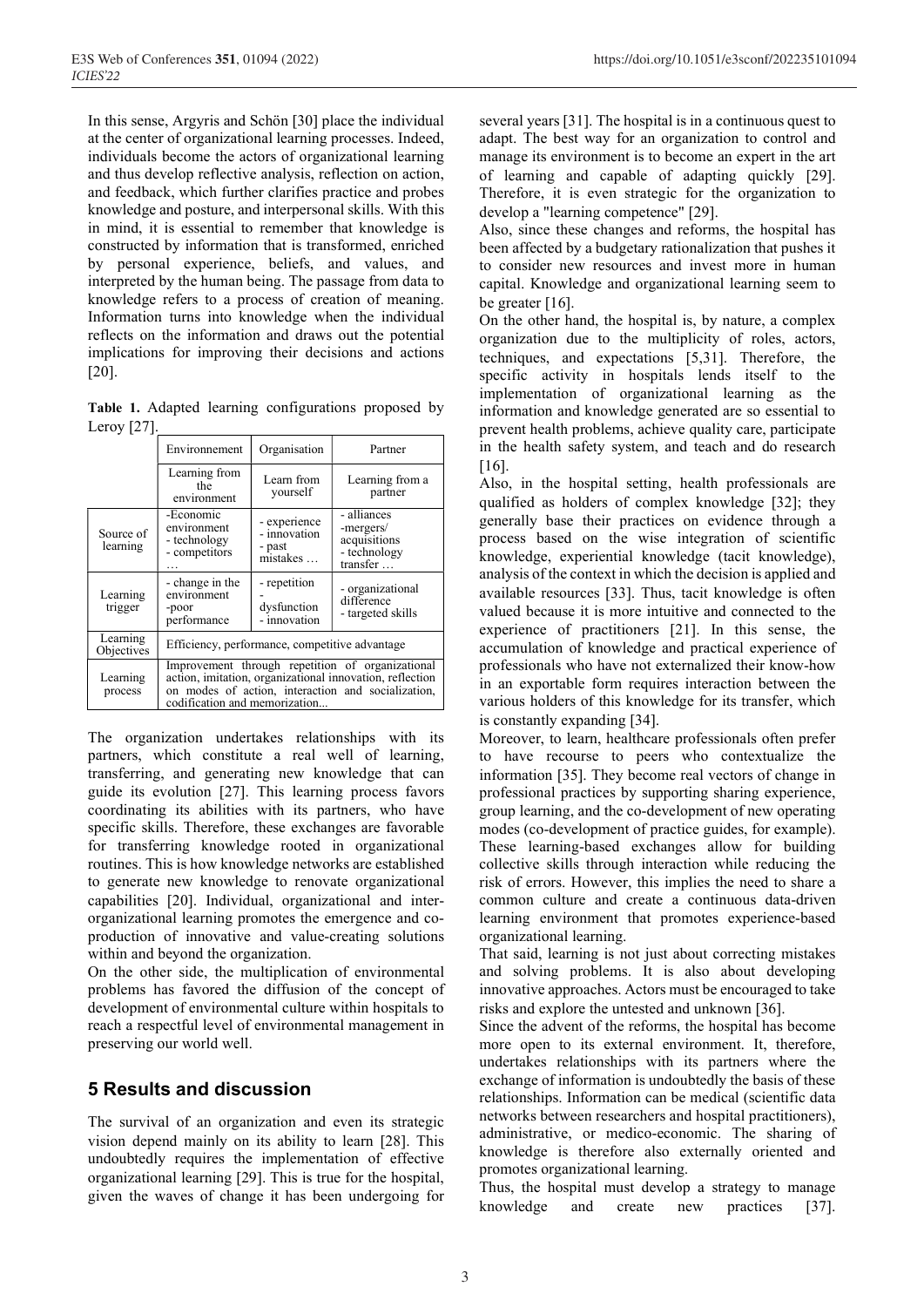In this sense, Argyris and Schön [30] place the individual at the center of organizational learning processes. Indeed, individuals become the actors of organizational learning and thus develop reflective analysis, reflection on action, and feedback, which further clarifies practice and probes knowledge and posture, and interpersonal skills. With this in mind, it is essential to remember that knowledge is constructed by information that is transformed, enriched by personal experience, beliefs, and values, and interpreted by the human being. The passage from data to knowledge refers to a process of creation of meaning. Information turns into knowledge when the individual reflects on the information and draws out the potential implications for improving their decisions and actions  $[20]$ .

**Table 1.** Adapted learning configurations proposed by Leroy  $[27]$ .

|                        | Environnement                                                                                                                                                                                       | Organisation                                       | Partner                                                              |
|------------------------|-----------------------------------------------------------------------------------------------------------------------------------------------------------------------------------------------------|----------------------------------------------------|----------------------------------------------------------------------|
|                        | Learning from<br>the<br>environment                                                                                                                                                                 | Learn from<br>yourself                             | Learning from a<br>partner                                           |
| Source of<br>learning  | -Economic<br>environment<br>- technology<br>- competitors                                                                                                                                           | - experience<br>- innovation<br>- past<br>mistakes | - alliances<br>-mergers/<br>acquisitions<br>- technology<br>transfer |
| Learning<br>trigger    | - change in the<br>environment<br>-poor<br>performance                                                                                                                                              | - repetition<br>dysfunction<br>- innovation        | - organizational<br>difference<br>- targeted skills                  |
| Learning<br>Objectives | Efficiency, performance, competitive advantage                                                                                                                                                      |                                                    |                                                                      |
| Learning<br>process    | Improvement through repetition of organizational<br>action, imitation, organizational innovation, reflection<br>on modes of action, interaction and socialization,<br>codification and memorization |                                                    |                                                                      |

The organization undertakes relationships with its partners, which constitute a real well of learning, transferring, and generating new knowledge that can guide its evolution [27]. This learning process favors coordinating its abilities with its partners, who have specific skills. Therefore, these exchanges are favorable for transferring knowledge rooted in organizational routines. This is how knowledge networks are established to generate new knowledge to renovate organizational capabilities [20]. Individual, organizational and interorganizational learning promotes the emergence and coproduction of innovative and value-creating solutions within and beyond the organization.

On the other side, the multiplication of environmental problems has favored the diffusion of the concept of development of environmental culture within hospitals to reach a respectful level of environmental management in preserving our world well.

# **5 Results and discussion**

The survival of an organization and even its strategic vision depend mainly on its ability to learn [28]. This undoubtedly requires the implementation of effective organizational learning [29]. This is true for the hospital, given the waves of change it has been undergoing for

several years [31]. The hospital is in a continuous quest to adapt. The best way for an organization to control and manage its environment is to become an expert in the art of learning and capable of adapting quickly 29. Therefore, it is even strategic for the organization to develop a "learning competence" [29].

Also, since these changes and reforms, the hospital has been affected by a budgetary rationalization that pushes it to consider new resources and invest more in human capital. Knowledge and organizational learning seem to be greater  $[16]$ .

On the other hand, the hospital is, by nature, a complex organization due to the multiplicity of roles, actors, techniques, and expectations [5,31]. Therefore, the specific activity in hospitals lends itself to the implementation of organizational learning as the information and knowledge generated are so essential to prevent health problems, achieve quality care, participate in the health safety system, and teach and do research  $[16]$ .

Also, in the hospital setting, health professionals are qualified as holders of complex knowledge [32]; they generally base their practices on evidence through a process based on the wise integration of scientific knowledge, experiential knowledge (tacit knowledge), analysis of the context in which the decision is applied and available resources [33]. Thus, tacit knowledge is often valued because it is more intuitive and connected to the experience of practitioners [21]. In this sense, the accumulation of knowledge and practical experience of professionals who have not externalized their know-how in an exportable form requires interaction between the various holders of this knowledge for its transfer, which is constantly expanding [34].

Moreover, to learn, healthcare professionals often prefer to have recourse to peers who contextualize the information [35]. They become real vectors of change in professional practices by supporting sharing experience, group learning, and the co-development of new operating modes (co-development of practice guides, for example). These learning-based exchanges allow for building collective skills through interaction while reducing the risk of errors. However, this implies the need to share a common culture and create a continuous data-driven learning environment that promotes experience-based organizational learning.

That said, learning is not just about correcting mistakes and solving problems. It is also about developing innovative approaches. Actors must be encouraged to take risks and explore the untested and unknown [36].

Since the advent of the reforms, the hospital has become more open to its external environment. It, therefore, undertakes relationships with its partners where the exchange of information is undoubtedly the basis of these relationships. Information can be medical (scientific data networks between researchers and hospital practitioners), administrative, or medico-economic. The sharing of knowledge is therefore also externally oriented and promotes organizational learning.

Thus, the hospital must develop a strategy to manage knowledge and create new practices [37].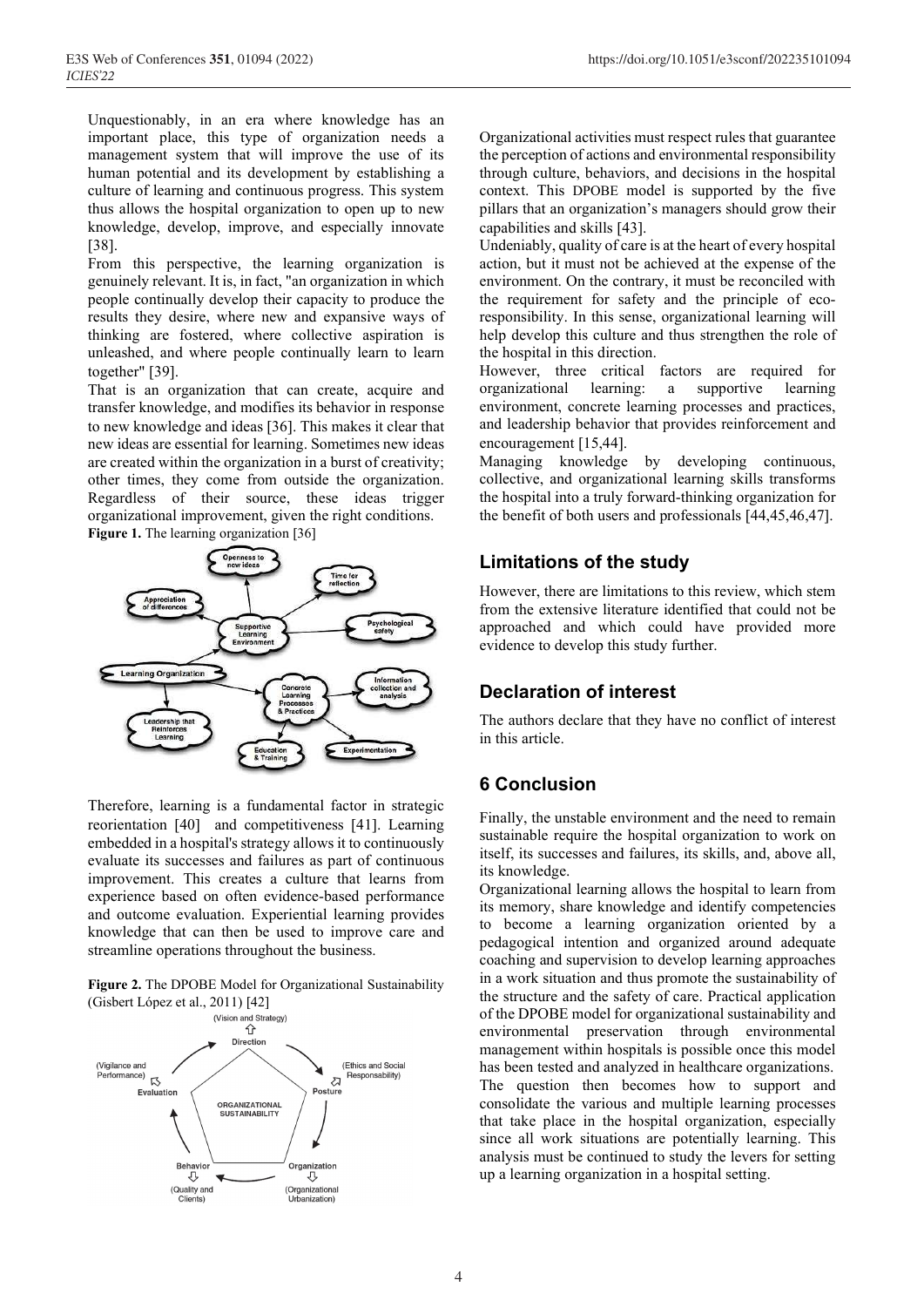Unquestionably, in an era where knowledge has an important place, this type of organization needs a management system that will improve the use of its human potential and its development by establishing a culture of learning and continuous progress. This system thus allows the hospital organization to open up to new knowledge, develop, improve, and especially innovate [38].

From this perspective, the learning organization is genuinely relevant. It is, in fact, "an organization in which people continually develop their capacity to produce the results they desire, where new and expansive ways of thinking are fostered, where collective aspiration is unleashed, and where people continually learn to learn together" [39].

That is an organization that can create, acquire and transfer knowledge, and modifies its behavior in response to new knowledge and ideas [36]. This makes it clear that new ideas are essential for learning. Sometimes new ideas are created within the organization in a burst of creativity; other times, they come from outside the organization. Regardless of their source, these ideas trigger organizational improvement, given the right conditions. Figure 1. The learning organization [36]



Therefore, learning is a fundamental factor in strategic reorientation [40] and competitiveness [41]. Learning embedded in a hospital's strategy allows it to continuously evaluate its successes and failures as part of continuous improvement. This creates a culture that learns from experience based on often evidence-based performance and outcome evaluation. Experiential learning provides knowledge that can then be used to improve care and streamline operations throughout the business.

**Figure 2.** The DPOBE Model for Organizational Sustainability



Organizational activities must respect rules that guarantee the perception of actions and environmental responsibility through culture, behaviors, and decisions in the hospital context. This DPOBE model is supported by the five pillars that an organization's managers should grow their capabilities and skills [43].

Undeniably, quality of care is at the heart of every hospital action, but it must not be achieved at the expense of the environment. On the contrary, it must be reconciled with the requirement for safety and the principle of ecoresponsibility. In this sense, organizational learning will help develop this culture and thus strengthen the role of the hospital in this direction.

However, three critical factors are required for organizational learning: a supportive learning environment, concrete learning processes and practices, and leadership behavior that provides reinforcement and encouragement [15,44].

Managing knowledge by developing continuous, collective, and organizational learning skills transforms the hospital into a truly forward-thinking organization for the benefit of both users and professionals  $[44, 45, 46, 47]$ .

#### **Limitations of the study**

However, there are limitations to this review, which stem from the extensive literature identified that could not be approached and which could have provided more evidence to develop this study further.

# **Declaration of interest**

The authors declare that they have no conflict of interest in this article.

# **6 Conclusion**

Finally, the unstable environment and the need to remain sustainable require the hospital organization to work on itself, its successes and failures, its skills, and, above all, its knowledge.

Organizational learning allows the hospital to learn from its memory, share knowledge and identify competencies to become a learning organization oriented by a pedagogical intention and organized around adequate coaching and supervision to develop learning approaches in a work situation and thus promote the sustainability of the structure and the safety of care. Practical application of the DPOBE model for organizational sustainability and environmental preservation through environmental management within hospitals is possible once this model has been tested and analyzed in healthcare organizations. The question then becomes how to support and consolidate the various and multiple learning processes that take place in the hospital organization, especially since all work situations are potentially learning. This analysis must be continued to study the levers for setting up a learning organization in a hospital setting.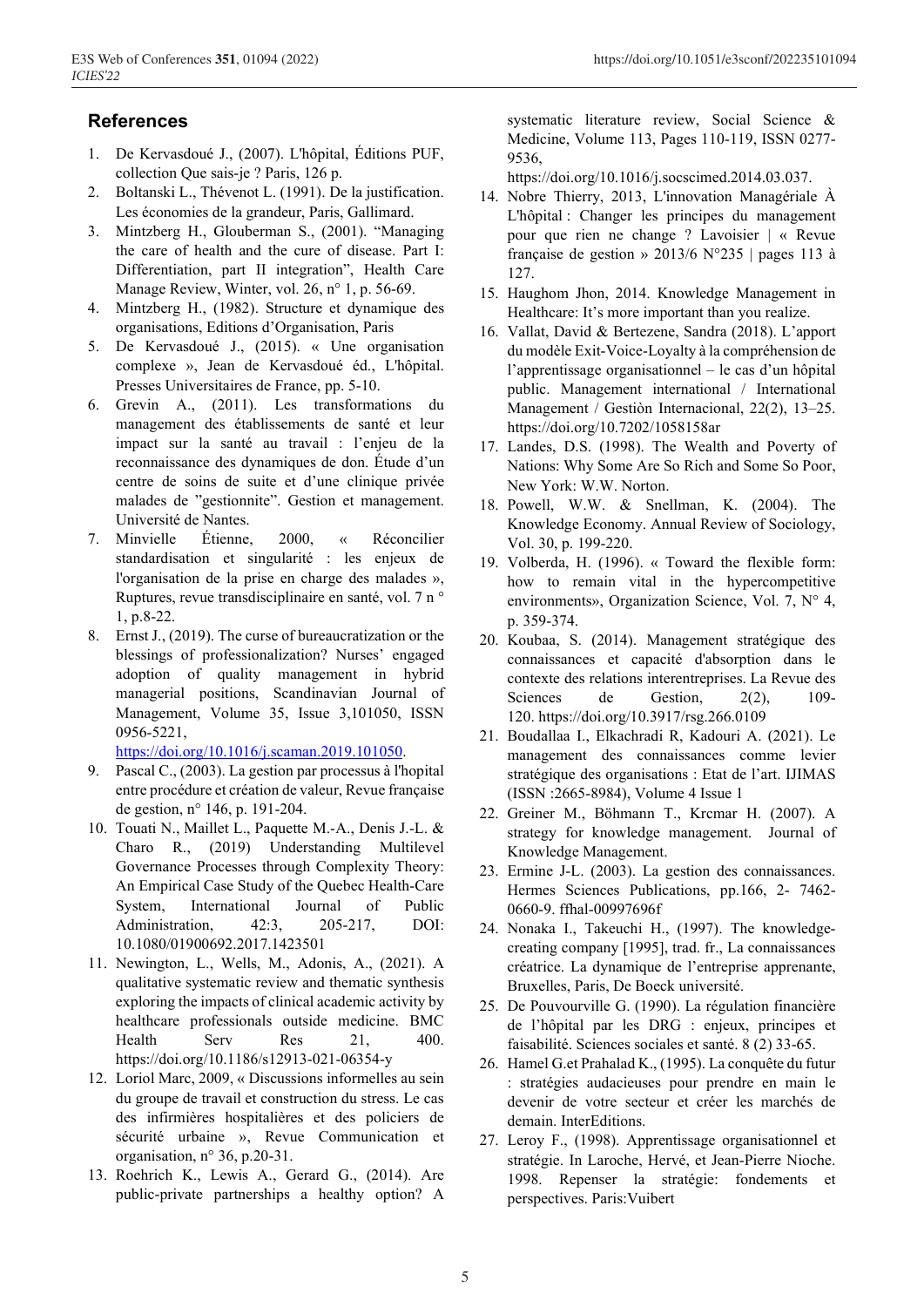#### **References**

- 1. De Kervasdoué J., (2007). L'hôpital, Éditions PUF, collection Que sais-je ? Paris, 126 p.
- 2. Boltanski L., Thévenot L. (1991). De la justification. Les économies de la grandeur, Paris, Gallimard.
- 3. Mintzberg H., Glouberman S., (2001). "Managing the care of health and the cure of disease. Part I: Differentiation, part II integration", Health Care Manage Review, Winter, vol. 26, n° 1, p. 56-69.
- 4. Mintzberg H., (1982). Structure et dynamique des organisations, Editions d'Organisation, Paris
- 5. De Kervasdoué J., (2015). « Une organisation complexe », Jean de Kervasdoué éd., L'hôpital. Presses Universitaires de France, pp. 5-10.
- 6. Grevin A., (2011). Les transformations du management des établissements de santé et leur impact sur la santé au travail : l'enjeu de la reconnaissance des dynamiques de don. Étude d'un centre de soins de suite et d'une clinique privée malades de "gestionnite". Gestion et management. Université de Nantes.
- 7. Minvielle Étienne, 2000, « Réconcilier standardisation et singularité : les enjeux de l'organisation de la prise en charge des malades », Ruptures, revue transdisciplinaire en santé, vol. 7 n ° 1, p.8-22.
- 8. Ernst J., (2019). The curse of bureaucratization or the blessings of professionalization? Nurses' engaged adoption of quality management in hybrid managerial positions, Scandinavian Journal of Management, Volume 35, Issue 3,101050, ISSN 0956-5221,

https://doi.org/10.1016/j.scaman.2019.101050.

- 9. Pascal C., (2003). La gestion par processus à l'hopital entre procédure et création de valeur, Revue française de gestion, n° 146, p. 191-204.
- 10. Touati N., Maillet L., Paquette M.-A., Denis J.-L. & Charo R., (2019) Understanding Multilevel Governance Processes through Complexity Theory: An Empirical Case Study of the Quebec Health-Care System, International Journal of Public Administration, 42:3, 205-217, DOI: 10.1080/01900692.2017.1423501
- 11. Newington, L., Wells, M., Adonis, A., (2021). A qualitative systematic review and thematic synthesis exploring the impacts of clinical academic activity by healthcare professionals outside medicine. BMC Health Serv Res 21, 400. https://doi.org/10.1186/s12913-021-06354-y
- 12. Loriol Marc, 2009, « Discussions informelles au sein du groupe de travail et construction du stress. Le cas des infirmières hospitalières et des policiers de sécurité urbaine », Revue Communication et organisation, n° 36, p.20-31.
- 13. Roehrich K., Lewis A., Gerard G., (2014). Are public-private partnerships a healthy option? A

systematic literature review, Social Science & Medicine, Volume 113, Pages 110-119, ISSN 0277- 9536,

https://doi.org/10.1016/j.socscimed.2014.03.037.

- 14. Nobre Thierry, 2013, L'innovation Managériale À L'hôpital : Changer les principes du management pour que rien ne change ? Lavoisier | « Revue française de gestion » 2013/6 N°235 | pages 113 à 127.
- 15. Haughom Jhon, 2014. Knowledge Management in Healthcare: It's more important than you realize.
- 16. Vallat, David & Bertezene, Sandra (2018). L'apport du modèle Exit-Voice-Loyalty à la compréhension de l'apprentissage organisationnel – le cas d'un hôpital public. Management international / International Management / Gestiòn Internacional, 22(2), 13–25. https://doi.org/10.7202/1058158ar
- 17. Landes, D.S. (1998). The Wealth and Poverty of Nations: Why Some Are So Rich and Some So Poor, New York: W.W. Norton.
- 18. Powell, W.W. & Snellman, K. (2004). The Knowledge Economy. Annual Review of Sociology, Vol. 30, p. 199-220.
- 19. Volberda, H. (1996). « Toward the flexible form: how to remain vital in the hypercompetitive environments», Organization Science, Vol. 7, N° 4, p. 359-374.
- 20. Koubaa, S. (2014). Management stratégique des connaissances et capacité d'absorption dans le contexte des relations interentreprises. La Revue des Sciences de Gestion, 2(2), 109-120. https://doi.org/10.3917/rsg.266.0109
- 21. Boudallaa I., Elkachradi R, Kadouri A. (2021). Le management des connaissances comme levier stratégique des organisations : Etat de l'art. IJIMAS (ISSN :2665-8984), Volume 4 Issue 1
- 22. Greiner M., Böhmann T., Krcmar H. (2007). A strategy for knowledge management. Journal of Knowledge Management.
- 23. Ermine J-L. (2003). La gestion des connaissances. Hermes Sciences Publications, pp.166, 2- 7462- 0660-9. ffhal-00997696f
- 24. Nonaka I., Takeuchi H., (1997). The knowledgecreating company [1995], trad. fr., La connaissances créatrice. La dynamique de l'entreprise apprenante, Bruxelles, Paris, De Boeck université.
- 25. De Pouvourville G. (1990). La régulation financière de l'hôpital par les DRG : enjeux, principes et faisabilité. Sciences sociales et santé. 8 (2) 33-65.
- 26. Hamel G.et Prahalad K., (1995). La conquête du futur : stratégies audacieuses pour prendre en main le devenir de votre secteur et créer les marchés de demain. InterEditions.
- 27. Leroy F., (1998). Apprentissage organisationnel et stratégie. In Laroche, Hervé, et Jean-Pierre Nioche. 1998. Repenser la stratégie: fondements et perspectives. Paris:Vuibert